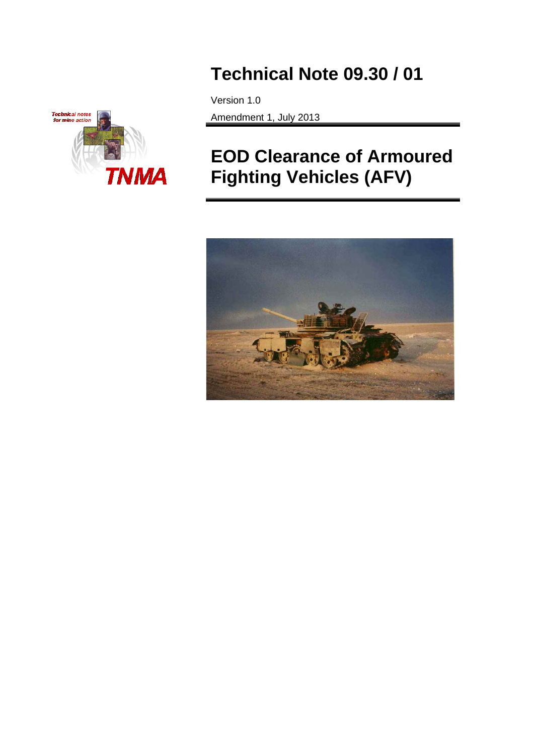

# **Technical Note 09.30 / 01**

Version 1.0 Amendment 1, July 2013

# **EOD Clearance of Armoured Fighting Vehicles (AFV)**

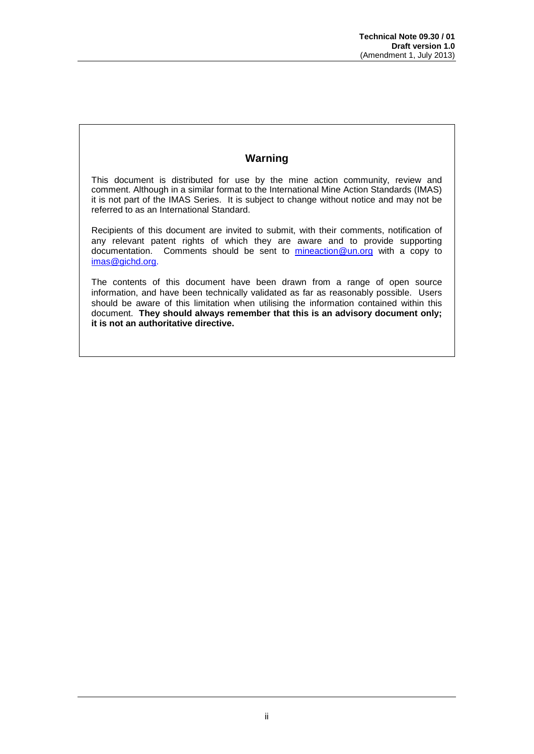# **Warning**

This document is distributed for use by the mine action community, review and comment. Although in a similar format to the International Mine Action Standards (IMAS) it is not part of the IMAS Series. It is subject to change without notice and may not be referred to as an International Standard.

Recipients of this document are invited to submit, with their comments, notification of any relevant patent rights of which they are aware and to provide supporting documentation. Comments should be sent to [mineaction@un.org](mailto:mineaction@un.org) with a copy to [imas@gichd.org.](mailto:imas@gichd.org)

The contents of this document have been drawn from a range of open source information, and have been technically validated as far as reasonably possible. Users should be aware of this limitation when utilising the information contained within this document. **They should always remember that this is an advisory document only; it is not an authoritative directive.**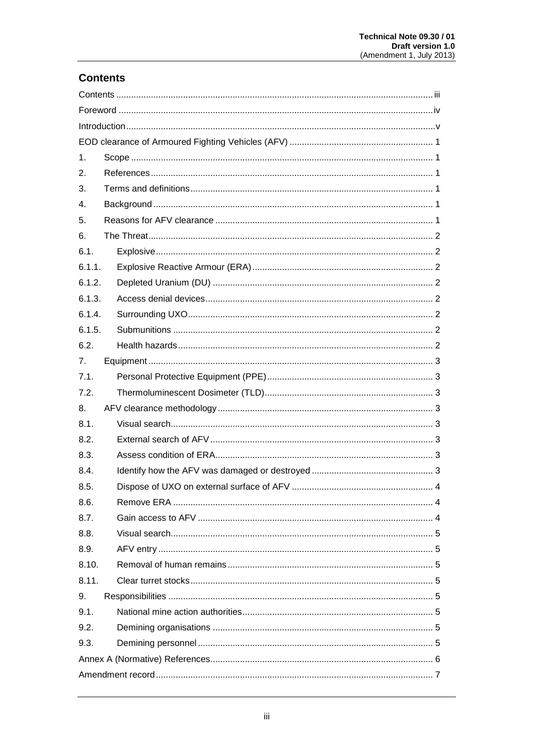# **Contents**

| 1.     |     |  |  |  |  |
|--------|-----|--|--|--|--|
| 2.     |     |  |  |  |  |
| 3.     |     |  |  |  |  |
| 4.     |     |  |  |  |  |
| 5.     |     |  |  |  |  |
| 6.     |     |  |  |  |  |
| 6.1.   |     |  |  |  |  |
| 6.1.1. |     |  |  |  |  |
| 6.1.2. |     |  |  |  |  |
| 6.1.3. |     |  |  |  |  |
| 6.1.4. |     |  |  |  |  |
| 6.1.5. |     |  |  |  |  |
| 6.2.   |     |  |  |  |  |
| 7.     |     |  |  |  |  |
| 7.1.   |     |  |  |  |  |
| 7.2.   |     |  |  |  |  |
| 8.     |     |  |  |  |  |
| 8.1.   |     |  |  |  |  |
| 8.2.   |     |  |  |  |  |
| 8.3.   |     |  |  |  |  |
| 8.4.   |     |  |  |  |  |
| 8.5.   | . 4 |  |  |  |  |
| 8.6.   |     |  |  |  |  |
| 8.7.   |     |  |  |  |  |
| 8.8.   |     |  |  |  |  |
| 8.9.   |     |  |  |  |  |
| 8.10.  |     |  |  |  |  |
| 8.11.  |     |  |  |  |  |
| 9.     |     |  |  |  |  |
| 9.1.   |     |  |  |  |  |
| 9.2.   |     |  |  |  |  |
| 9.3.   |     |  |  |  |  |
|        |     |  |  |  |  |
|        |     |  |  |  |  |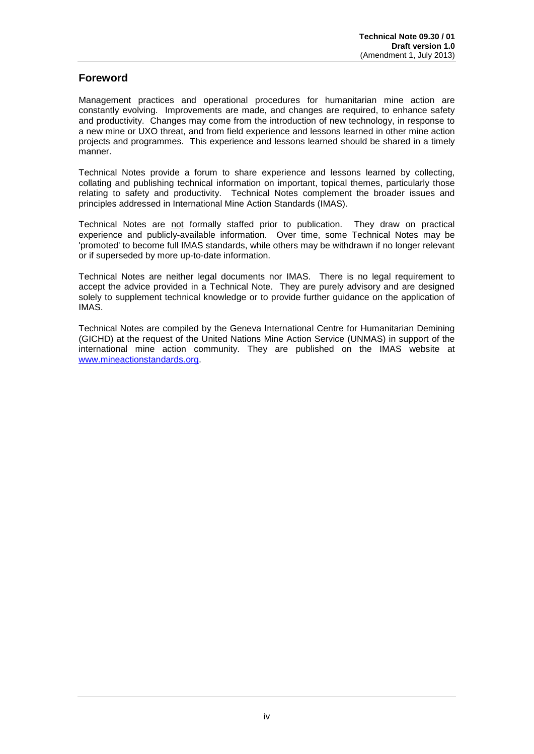# **Foreword**

Management practices and operational procedures for humanitarian mine action are constantly evolving. Improvements are made, and changes are required, to enhance safety and productivity. Changes may come from the introduction of new technology, in response to a new mine or UXO threat, and from field experience and lessons learned in other mine action projects and programmes. This experience and lessons learned should be shared in a timely manner.

Technical Notes provide a forum to share experience and lessons learned by collecting, collating and publishing technical information on important, topical themes, particularly those relating to safety and productivity. Technical Notes complement the broader issues and principles addressed in International Mine Action Standards (IMAS).

Technical Notes are not formally staffed prior to publication. They draw on practical experience and publicly-available information. Over time, some Technical Notes may be 'promoted' to become full IMAS standards, while others may be withdrawn if no longer relevant or if superseded by more up-to-date information.

Technical Notes are neither legal documents nor IMAS. There is no legal requirement to accept the advice provided in a Technical Note. They are purely advisory and are designed solely to supplement technical knowledge or to provide further guidance on the application of IMAS.

Technical Notes are compiled by the Geneva International Centre for Humanitarian Demining (GICHD) at the request of the United Nations Mine Action Service (UNMAS) in support of the international mine action community. They are published on the IMAS website at [www.mineactionstandards.org.](http://www.mineactionstandards.org/)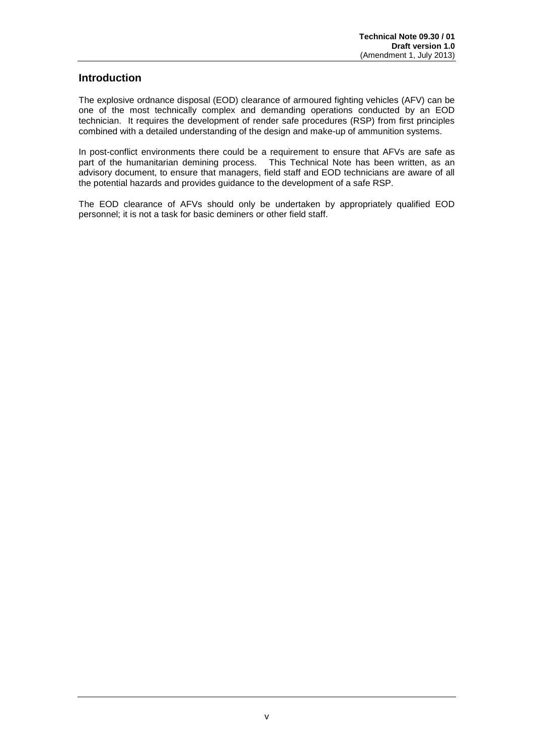# **Introduction**

The explosive ordnance disposal (EOD) clearance of armoured fighting vehicles (AFV) can be one of the most technically complex and demanding operations conducted by an EOD technician. It requires the development of render safe procedures (RSP) from first principles combined with a detailed understanding of the design and make-up of ammunition systems.

In post-conflict environments there could be a requirement to ensure that AFVs are safe as part of the humanitarian demining process. This Technical Note has been written, as an advisory document, to ensure that managers, field staff and EOD technicians are aware of all the potential hazards and provides guidance to the development of a safe RSP.

The EOD clearance of AFVs should only be undertaken by appropriately qualified EOD personnel; it is not a task for basic deminers or other field staff.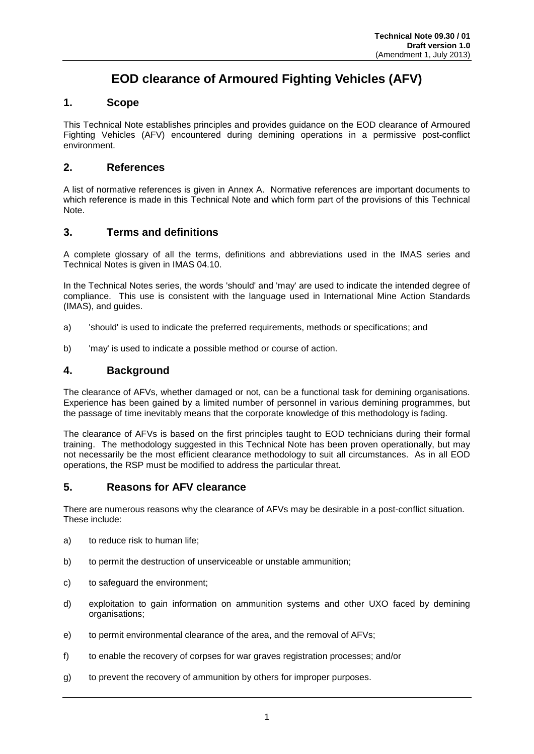# **EOD clearance of Armoured Fighting Vehicles (AFV)**

# **1. Scope**

This Technical Note establishes principles and provides guidance on the EOD clearance of Armoured Fighting Vehicles (AFV) encountered during demining operations in a permissive post-conflict environment.

# **2. References**

A list of normative references is given in Annex A. Normative references are important documents to which reference is made in this Technical Note and which form part of the provisions of this Technical Note.

# **3. Terms and definitions**

A complete glossary of all the terms, definitions and abbreviations used in the IMAS series and Technical Notes is given in IMAS 04.10.

In the Technical Notes series, the words 'should' and 'may' are used to indicate the intended degree of compliance. This use is consistent with the language used in International Mine Action Standards (IMAS), and guides.

- a) 'should' is used to indicate the preferred requirements, methods or specifications; and
- b) 'may' is used to indicate a possible method or course of action.

# **4. Background**

The clearance of AFVs, whether damaged or not, can be a functional task for demining organisations. Experience has been gained by a limited number of personnel in various demining programmes, but the passage of time inevitably means that the corporate knowledge of this methodology is fading.

The clearance of AFVs is based on the first principles taught to EOD technicians during their formal training. The methodology suggested in this Technical Note has been proven operationally, but may not necessarily be the most efficient clearance methodology to suit all circumstances. As in all EOD operations, the RSP must be modified to address the particular threat.

## **5. Reasons for AFV clearance**

There are numerous reasons why the clearance of AFVs may be desirable in a post-conflict situation. These include:

- a) to reduce risk to human life;
- b) to permit the destruction of unserviceable or unstable ammunition;
- c) to safeguard the environment;
- d) exploitation to gain information on ammunition systems and other UXO faced by demining organisations;
- e) to permit environmental clearance of the area, and the removal of AFVs;
- <span id="page-5-0"></span>f) to enable the recovery of corpses for war graves registration processes; and/or
- g) to prevent the recovery of ammunition by others for improper purposes.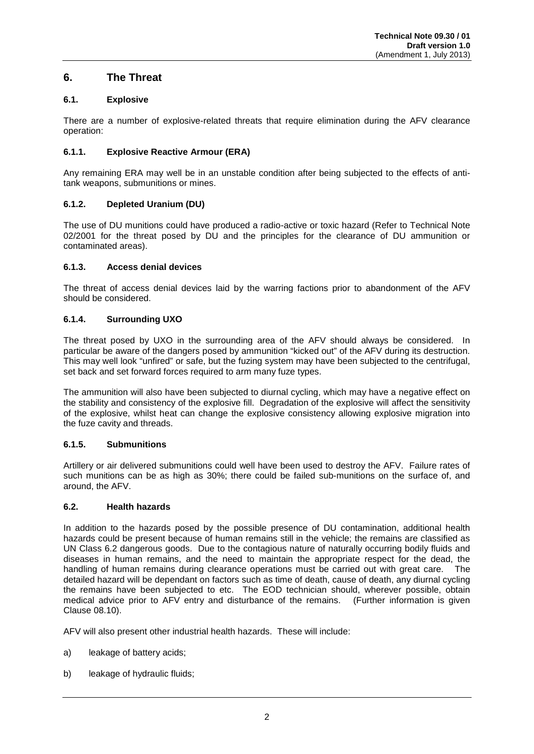# **6. The Threat**

## **6.1. Explosive**

There are a number of explosive-related threats that require elimination during the AFV clearance operation:

### **6.1.1. Explosive Reactive Armour (ERA)**

Any remaining ERA may well be in an unstable condition after being subjected to the effects of antitank weapons, submunitions or mines.

#### **6.1.2. Depleted Uranium (DU)**

The use of DU munitions could have produced a radio-active or toxic hazard (Refer to Technical Note 02/2001 for the threat posed by DU and the principles for the clearance of DU ammunition or contaminated areas).

#### **6.1.3. Access denial devices**

The threat of access denial devices laid by the warring factions prior to abandonment of the AFV should be considered.

#### **6.1.4. Surrounding UXO**

The threat posed by UXO in the surrounding area of the AFV should always be considered. In particular be aware of the dangers posed by ammunition "kicked out" of the AFV during its destruction. This may well look "unfired" or safe, but the fuzing system may have been subjected to the centrifugal, set back and set forward forces required to arm many fuze types.

The ammunition will also have been subjected to diurnal cycling, which may have a negative effect on the stability and consistency of the explosive fill. Degradation of the explosive will affect the sensitivity of the explosive, whilst heat can change the explosive consistency allowing explosive migration into the fuze cavity and threads.

#### **6.1.5. Submunitions**

Artillery or air delivered submunitions could well have been used to destroy the AFV. Failure rates of such munitions can be as high as 30%; there could be failed sub-munitions on the surface of, and around, the AFV.

#### **6.2. Health hazards**

In addition to the hazards posed by the possible presence of DU contamination, additional health hazards could be present because of human remains still in the vehicle; the remains are classified as UN Class 6.2 dangerous goods. Due to the contagious nature of naturally occurring bodily fluids and diseases in human remains, and the need to maintain the appropriate respect for the dead, the handling of human remains during clearance operations must be carried out with great care. The detailed hazard will be dependant on factors such as time of death, cause of death, any diurnal cycling the remains have been subjected to etc. The EOD technician should, wherever possible, obtain medical advice prior to AFV entry and disturbance of the remains. (Further information is given Clause 08.10).

AFV will also present other industrial health hazards. These will include:

- a) leakage of battery acids;
- b) leakage of hydraulic fluids;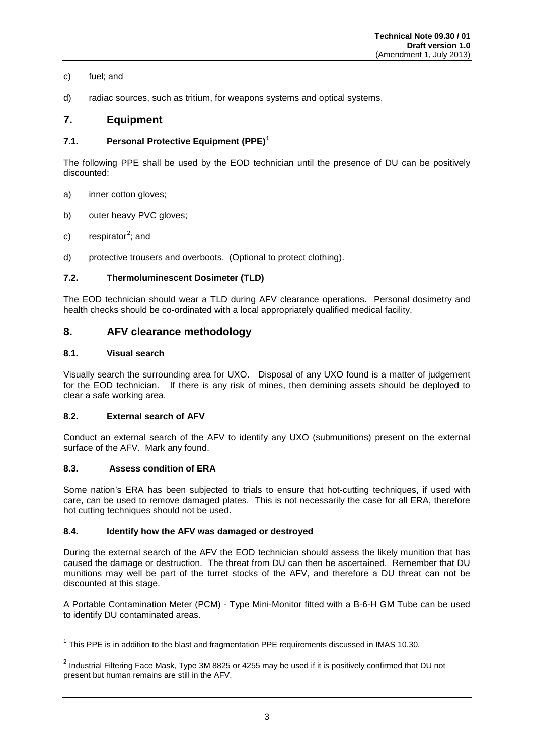#### c) fuel; and

d) radiac sources, such as tritium, for weapons systems and optical systems.

# **7. Equipment**

## **7.1. Personal Protective Equipment (PPE)[1](#page-5-0)**

The following PPE shall be used by the EOD technician until the presence of DU can be positively discounted:

- a) inner cotton gloves;
- b) outer heavy PVC gloves;
- c) respirator<sup>[2](#page-7-0)</sup>; and
- d) protective trousers and overboots. (Optional to protect clothing).

#### **7.2. Thermoluminescent Dosimeter (TLD)**

The EOD technician should wear a TLD during AFV clearance operations. Personal dosimetry and health checks should be co-ordinated with a local appropriately qualified medical facility.

# **8. AFV clearance methodology**

#### **8.1. Visual search**

Visually search the surrounding area for UXO. Disposal of any UXO found is a matter of judgement for the EOD technician. If there is any risk of mines, then demining assets should be deployed to clear a safe working area.

#### **8.2. External search of AFV**

Conduct an external search of the AFV to identify any UXO (submunitions) present on the external surface of the AFV. Mark any found.

#### **8.3. Assess condition of ERA**

Some nation's ERA has been subjected to trials to ensure that hot-cutting techniques, if used with care, can be used to remove damaged plates. This is not necessarily the case for all ERA, therefore hot cutting techniques should not be used.

#### **8.4. Identify how the AFV was damaged or destroyed**

During the external search of the AFV the EOD technician should assess the likely munition that has caused the damage or destruction. The threat from DU can then be ascertained. Remember that DU munitions may well be part of the turret stocks of the AFV, and therefore a DU threat can not be discounted at this stage.

A Portable Contamination Meter (PCM) - Type Mini-Monitor fitted with a B-6-H GM Tube can be used to identify DU contaminated areas.

<span id="page-7-1"></span> $1$  This PPE is in addition to the blast and fragmentation PPE requirements discussed in IMAS 10.30.

<span id="page-7-0"></span><sup>&</sup>lt;sup>2</sup> Industrial Filtering Face Mask, Type 3M 8825 or 4255 may be used if it is positively confirmed that DU not present but human remains are still in the AFV.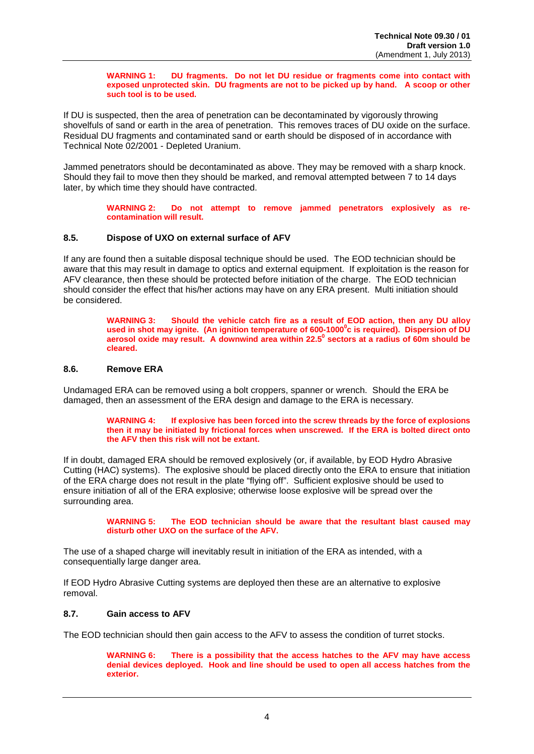**WARNING 1: DU fragments. Do not let DU residue or fragments come into contact with exposed unprotected skin. DU fragments are not to be picked up by hand. A scoop or other such tool is to be used.**

If DU is suspected, then the area of penetration can be decontaminated by vigorously throwing shovelfuls of sand or earth in the area of penetration. This removes traces of DU oxide on the surface. Residual DU fragments and contaminated sand or earth should be disposed of in accordance with Technical Note 02/2001 - Depleted Uranium.

Jammed penetrators should be decontaminated as above. They may be removed with a sharp knock. Should they fail to move then they should be marked, and removal attempted between 7 to 14 days later, by which time they should have contracted.

> **WARNING 2: Do not attempt to remove jammed penetrators explosively as recontamination will result.**

#### **8.5. Dispose of UXO on external surface of AFV**

If any are found then a suitable disposal technique should be used. The EOD technician should be aware that this may result in damage to optics and external equipment. If exploitation is the reason for AFV clearance, then these should be protected before initiation of the charge. The EOD technician should consider the effect that his/her actions may have on any ERA present. Multi initiation should be considered.

> **WARNING 3: Should the vehicle catch fire as a result of EOD action, then any DU alloy**  used in shot may ignite. (An ignition temperature of 600-1000<sup>0</sup>c is required). Dispersion of DU **aerosol oxide may result. A downwind area within 22.50 sectors at a radius of 60m should be cleared.**

#### **8.6. Remove ERA**

Undamaged ERA can be removed using a bolt croppers, spanner or wrench. Should the ERA be damaged, then an assessment of the ERA design and damage to the ERA is necessary.

> **WARNING 4: If explosive has been forced into the screw threads by the force of explosions then it may be initiated by frictional forces when unscrewed. If the ERA is bolted direct onto the AFV then this risk will not be extant.**

If in doubt, damaged ERA should be removed explosively (or, if available, by EOD Hydro Abrasive Cutting (HAC) systems). The explosive should be placed directly onto the ERA to ensure that initiation of the ERA charge does not result in the plate "flying off". Sufficient explosive should be used to ensure initiation of all of the ERA explosive; otherwise loose explosive will be spread over the surrounding area.

> **WARNING 5: The EOD technician should be aware that the resultant blast caused may disturb other UXO on the surface of the AFV.**

The use of a shaped charge will inevitably result in initiation of the ERA as intended, with a consequentially large danger area.

If EOD Hydro Abrasive Cutting systems are deployed then these are an alternative to explosive removal.

#### **8.7. Gain access to AFV**

The EOD technician should then gain access to the AFV to assess the condition of turret stocks.

**WARNING 6: There is a possibility that the access hatches to the AFV may have access denial devices deployed. Hook and line should be used to open all access hatches from the exterior.**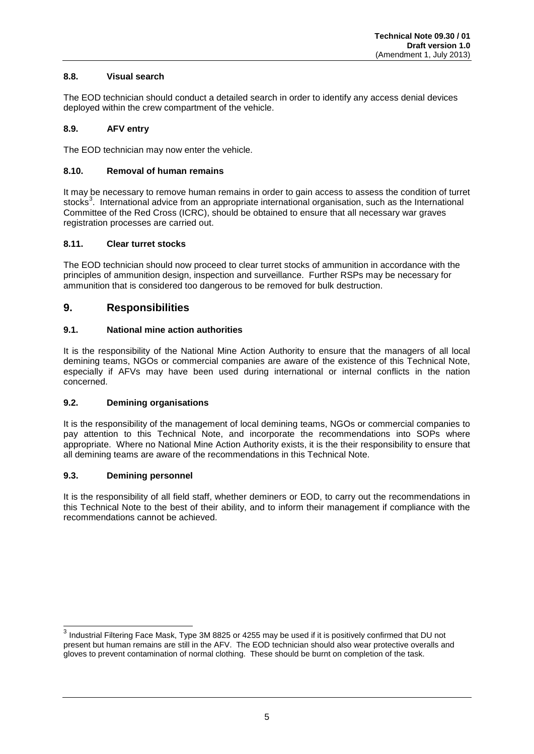### **8.8. Visual search**

The EOD technician should conduct a detailed search in order to identify any access denial devices deployed within the crew compartment of the vehicle.

#### **8.9. AFV entry**

The EOD technician may now enter the vehicle.

#### **8.10. Removal of human remains**

It may be necessary to remove human remains in order to gain access to assess the condition of turret stocks<sup>[3](#page-7-1)</sup>. International advice from an appropriate international organisation, such as the International Committee of the Red Cross (ICRC), should be obtained to ensure that all necessary war graves registration processes are carried out.

#### **8.11. Clear turret stocks**

The EOD technician should now proceed to clear turret stocks of ammunition in accordance with the principles of ammunition design, inspection and surveillance. Further RSPs may be necessary for ammunition that is considered too dangerous to be removed for bulk destruction.

# **9. Responsibilities**

#### **9.1. National mine action authorities**

It is the responsibility of the National Mine Action Authority to ensure that the managers of all local demining teams, NGOs or commercial companies are aware of the existence of this Technical Note, especially if AFVs may have been used during international or internal conflicts in the nation concerned.

#### **9.2. Demining organisations**

It is the responsibility of the management of local demining teams, NGOs or commercial companies to pay attention to this Technical Note, and incorporate the recommendations into SOPs where appropriate. Where no National Mine Action Authority exists, it is the their responsibility to ensure that all demining teams are aware of the recommendations in this Technical Note.

#### **9.3. Demining personnel**

It is the responsibility of all field staff, whether deminers or EOD, to carry out the recommendations in this Technical Note to the best of their ability, and to inform their management if compliance with the recommendations cannot be achieved.

<sup>&</sup>lt;sup>3</sup> Industrial Filtering Face Mask, Type 3M 8825 or 4255 may be used if it is positively confirmed that DU not present but human remains are still in the AFV. The EOD technician should also wear protective overalls and gloves to prevent contamination of normal clothing. These should be burnt on completion of the task.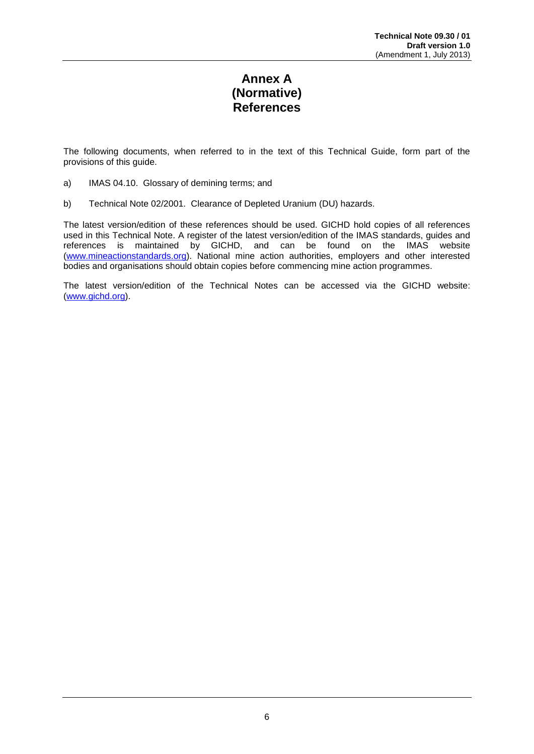# **Annex A (Normative) References**

The following documents, when referred to in the text of this Technical Guide, form part of the provisions of this guide.

- a) IMAS 04.10. Glossary of demining terms; and
- b) Technical Note 02/2001. Clearance of Depleted Uranium (DU) hazards.

The latest version/edition of these references should be used. GICHD hold copies of all references used in this Technical Note. A register of the latest version/edition of the IMAS standards, guides and references is maintained by GICHD, and can be found on the IMAS website [\(www.mineactionstandards.org\)](http://www.mineactionstandards.org/). National mine action authorities, employers and other interested bodies and organisations should obtain copies before commencing mine action programmes.

The latest version/edition of the Technical Notes can be accessed via the GICHD website: [\(www.gichd.org\)](http://www.gichd.org/).